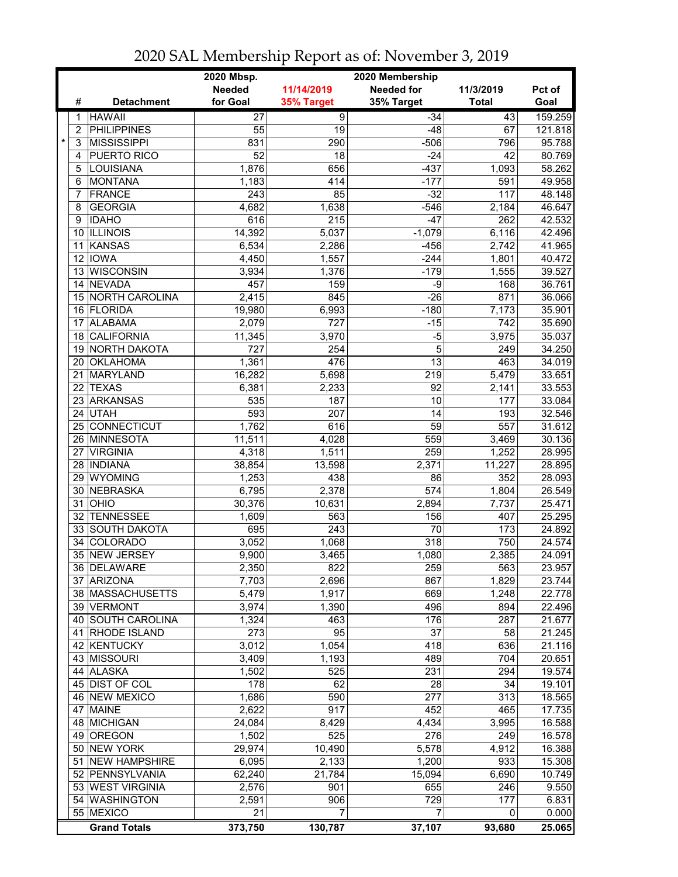|                |                     | 2020 Mbsp.      | 2020 Membership  |                   |              |         |  |  |
|----------------|---------------------|-----------------|------------------|-------------------|--------------|---------|--|--|
|                |                     | <b>Needed</b>   | 11/14/2019       | <b>Needed for</b> | 11/3/2019    | Pct of  |  |  |
| #              | <b>Detachment</b>   | for Goal        | 35% Target       | 35% Target        | <b>Total</b> | Goal    |  |  |
| 1              | <b>HAWAII</b>       | $\overline{27}$ | $\overline{9}$   | $-34$             | 43           | 159.259 |  |  |
| $\overline{2}$ | <b>PHILIPPINES</b>  | 55              | 19               | $-48$             | 67           | 121.818 |  |  |
| *<br>3         | <b>MISSISSIPPI</b>  | 831             | 290              | $-506$            | 796          | 95.788  |  |  |
| 4              | PUERTO RICO         | 52              | 18               | $-24$             | 42           | 80.769  |  |  |
| 5              | <b>LOUISIANA</b>    | 1,876           | 656              | $-437$            | 1,093        | 58.262  |  |  |
| 6              | <b>MONTANA</b>      | 1,183           | 414              | $-177$            | 591          | 49.958  |  |  |
| 7              | <b>FRANCE</b>       | 243             | 85               | $-32$             | 117          | 48.148  |  |  |
| 8              | <b>GEORGIA</b>      | 4,682           | 1,638            | $-546$            | 2,184        | 46.647  |  |  |
| 9              | <b>IDAHO</b>        | 616             | 215              | $-47$             | 262          | 42.532  |  |  |
|                | 10 ILLINOIS         | 14,392          | 5,037            | $-1,079$          | 6,116        | 42.496  |  |  |
| 11             | KANSAS              | 6,534           | 2,286            | $-456$            | 2,742        | 41.965  |  |  |
| 12             | <b>IOWA</b>         | 4,450           | 1,557            | $-244$            | 1,801        | 40.472  |  |  |
| 13             | <b>WISCONSIN</b>    | 3,934           | 1,376            | $-179$            | 1,555        | 39.527  |  |  |
| 14             | <b>NEVADA</b>       | 457             | 159              | $-9$              | 168          | 36.761  |  |  |
| 15             | NORTH CAROLINA      | 2,415           | 845              | $-26$             | 871          | 36.066  |  |  |
|                | 16 FLORIDA          | 19,980          | 6,993            | $-180$            | 7,173        | 35.901  |  |  |
| 17             | <b>ALABAMA</b>      | 2,079           | 727              | $-15$             | 742          | 35.690  |  |  |
| 18             | <b>CALIFORNIA</b>   | 11,345          | 3,970            | $-5$              | 3,975        | 35.037  |  |  |
| 19             | NORTH DAKOTA        | 727             | 254              | $\overline{5}$    | 249          | 34.250  |  |  |
| 20             | <b>OKLAHOMA</b>     | 1,361           | 476              | $\overline{13}$   | 463          | 34.019  |  |  |
| 21             | <b>MARYLAND</b>     | 16,282          | 5,698            | 219               | 5,479        | 33.651  |  |  |
| 22             | <b>TEXAS</b>        | 6,381           | 2,233            | $\overline{92}$   | 2,141        | 33.553  |  |  |
| 23             | <b>ARKANSAS</b>     | 535             | 187              | 10                | 177          | 33.084  |  |  |
| 24             | <b>UTAH</b>         | 593             | 207              | $\overline{14}$   | 193          | 32.546  |  |  |
| 25             | CONNECTICUT         | 1,762           | 616              | $\overline{59}$   | 557          | 31.612  |  |  |
|                | 26 MINNESOTA        | 11,511          | 4,028            | 559               | 3,469        | 30.136  |  |  |
| 27             | <b>VIRGINIA</b>     | 4,318           | 1,511            | 259               | 1,252        | 28.995  |  |  |
|                | 28   INDIANA        | 38,854          | 13,598           | 2,371             | 11,227       | 28.895  |  |  |
|                | 29 WYOMING          | 1,253           | 438              | 86                | 352          | 28.093  |  |  |
| 30             | <b>NEBRASKA</b>     | 6,795           | 2,378            | 574               | 1,804        | 26.549  |  |  |
| 31             | OHIO                | 30,376          | 10,631           | 2,894             | 7,737        | 25.471  |  |  |
| 32             | <b>TENNESSEE</b>    | 1,609           | 563              | 156               | 407          | 25.295  |  |  |
|                | 33 SOUTH DAKOTA     | 695             | 243              | 70                | 173          | 24.892  |  |  |
| 34             | <b>COLORADO</b>     | 3,052           | 1,068            | 318               | 750          | 24.574  |  |  |
|                | 35 NEW JERSEY       | 9,900           | 3,465            | 1,080             | 2,385        | 24.091  |  |  |
|                | 36 DELAWARE         | 2,350           | 822              | 259               | 563          | 23.957  |  |  |
|                | 37 ARIZONA          | 7,703           | 2,696            | 867               | 1,829        | 23.744  |  |  |
|                | 38 MASSACHUSETTS    | 5,479           | 1,917            | 669               | 1,248        | 22.778  |  |  |
|                | 39 VERMONT          | 3,974           | 1,390            | 496               | 894          | 22.496  |  |  |
|                | 40 SOUTH CAROLINA   | 1,324           | 463              | 176               | 287          | 21.677  |  |  |
|                | 41 RHODE ISLAND     | 273             | 95               | $\overline{37}$   | 58           | 21.245  |  |  |
|                | 42 KENTUCKY         | 3,012           | 1,054            | 418               | 636          | 21.116  |  |  |
|                | 43 MISSOURI         | 3,409           | 1,193            | 489               | 704          | 20.651  |  |  |
|                | 44 ALASKA           | 1,502           | 525              | 231               | 294          | 19.574  |  |  |
|                | 45 DIST OF COL      | 178             | 62               | 28                | 34           | 19.101  |  |  |
|                | 46 NEW MEXICO       | 1,686           | 590              | $\overline{277}$  | 313          | 18.565  |  |  |
|                | 47 MAINE            | 2,622           | $\overline{917}$ | 452               | 465          | 17.735  |  |  |
|                | 48 MICHIGAN         | 24,084          | 8,429            | 4,434             | 3,995        | 16.588  |  |  |
|                | 49 OREGON           | 1,502           | 525              | 276               | 249          | 16.578  |  |  |
|                | 50 NEW YORK         | 29,974          | 10,490           | 5,578             | 4,912        | 16.388  |  |  |
|                | 51 NEW HAMPSHIRE    | 6,095           | 2,133            | 1,200             | 933          | 15.308  |  |  |
|                | 52 PENNSYLVANIA     | 62,240          | 21,784           | 15,094            | 6,690        | 10.749  |  |  |
|                | 53 WEST VIRGINIA    | 2,576           | 901              | 655               | 246          | 9.550   |  |  |
|                | 54 WASHINGTON       | 2,591           | 906              | 729               | 177          | 6.831   |  |  |
|                | 55 MEXICO           | 21              | 7                | 7                 | 0            | 0.000   |  |  |
|                | <b>Grand Totals</b> | 373,750         | 130,787          | 37,107            | 93,680       | 25.065  |  |  |

2020 SAL Membership Report as of: November 3, 2019